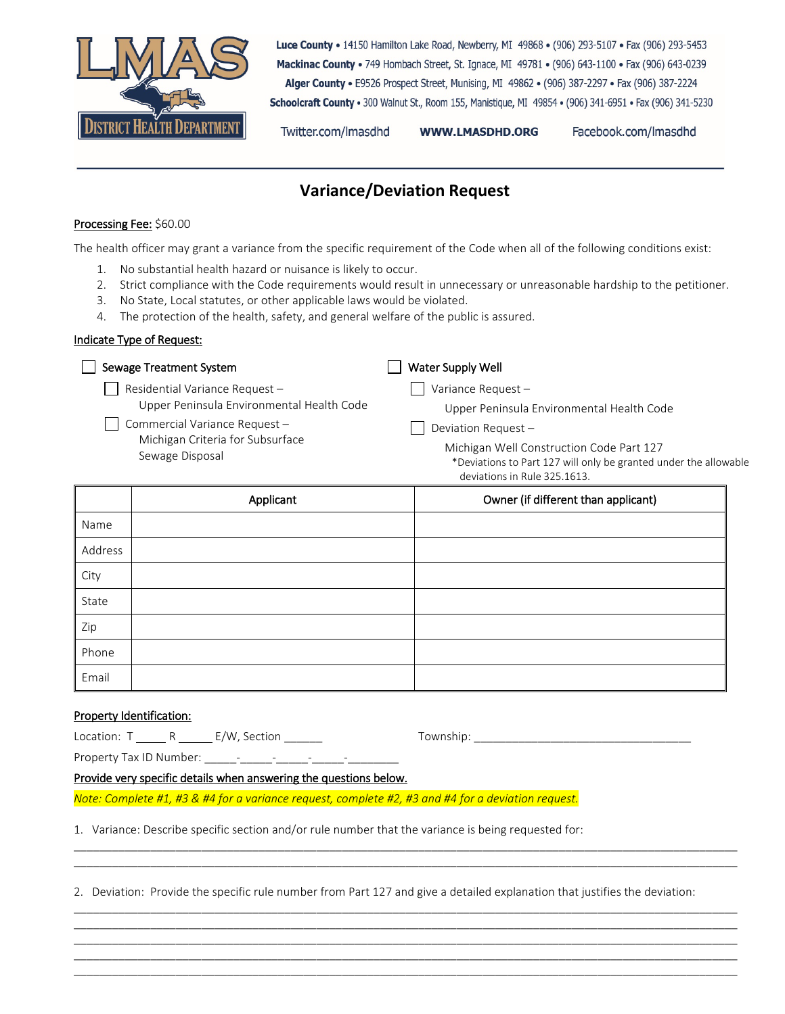

Luce County . 14150 Hamilton Lake Road, Newberry, MI 49868 . (906) 293-5107 . Fax (906) 293-5453 Mackinac County . 749 Hombach Street, St. Ignace, MI 49781 . (906) 643-1100 . Fax (906) 643-0239 Alger County . E9526 Prospect Street, Munising, MI 49862 . (906) 387-2297 . Fax (906) 387-2224 Schoolcraft County · 300 Walnut St., Room 155, Manistique, MI 49854 · (906) 341-6951 · Fax (906) 341-5230

Twitter.com/Imasdhd

**WWW.LMASDHD.ORG** 

Facebook.com/Imasdhd

## **Variance/Deviation Request**

## Processing Fee: \$60.00

The health officer may grant a variance from the specific requirement of the Code when all of the following conditions exist:

- 1. No substantial health hazard or nuisance is likely to occur.
- 2. Strict compliance with the Code requirements would result in unnecessary or unreasonable hardship to the petitioner.
- 3. No State, Local statutes, or other applicable laws would be violated.
- 4. The protection of the health, safety, and general welfare of the public is assured.

## Indicate Type of Request:

| Sewage Treatment System                                                                                                           |                               | Water Supply Well                                                                                                                            |  |  |
|-----------------------------------------------------------------------------------------------------------------------------------|-------------------------------|----------------------------------------------------------------------------------------------------------------------------------------------|--|--|
|                                                                                                                                   | Residential Variance Request- | Variance Request-                                                                                                                            |  |  |
| Upper Peninsula Environmental Health Code<br>Commercial Variance Request -<br>Michigan Criteria for Subsurface<br>Sewage Disposal |                               | Upper Peninsula Environmental Health Code                                                                                                    |  |  |
|                                                                                                                                   |                               | Deviation Request-                                                                                                                           |  |  |
|                                                                                                                                   |                               | Michigan Well Construction Code Part 127<br>*Deviations to Part 127 will only be granted under the allowable<br>deviations in Rule 325.1613. |  |  |
|                                                                                                                                   | Applicant                     | Owner (if different than applicant)                                                                                                          |  |  |
| Name                                                                                                                              |                               |                                                                                                                                              |  |  |
| Address                                                                                                                           |                               |                                                                                                                                              |  |  |
| City                                                                                                                              |                               |                                                                                                                                              |  |  |
|                                                                                                                                   |                               |                                                                                                                                              |  |  |

| City  |  |
|-------|--|
| State |  |
| Zip   |  |
| Phone |  |
| Email |  |

## Property Identification:

| Location: |  | E/W, Section |
|-----------|--|--------------|
|-----------|--|--------------|

Location: T R E/W, Section \_\_\_\_\_\_ Township: \_\_\_\_\_\_\_\_\_\_\_\_\_\_\_\_\_\_\_\_\_\_\_\_\_\_\_\_\_\_\_\_\_\_

Property Tax ID Number: \_\_\_\_\_-\_\_\_\_\_-\_\_\_\_\_-\_\_\_\_\_-\_\_\_\_\_\_\_\_

Provide very specific details when answering the questions below.

*Note: Complete #1, #3 & #4 for a variance request, complete #2, #3 and #4 for a deviation request.*

1. Variance: Describe specific section and/or rule number that the variance is being requested for: \_\_\_\_\_\_\_\_\_\_\_\_\_\_\_\_\_\_\_\_\_\_\_\_\_\_\_\_\_\_\_\_\_\_\_\_\_\_\_\_\_\_\_\_\_\_\_\_\_\_\_\_\_\_\_\_\_\_\_\_\_\_\_\_\_\_\_\_\_\_\_\_\_\_\_\_\_\_\_\_\_\_\_\_\_\_\_\_\_\_\_\_\_\_\_\_\_\_\_\_\_\_\_\_

2. Deviation: Provide the specific rule number from Part 127 and give a detailed explanation that justifies the deviation:

\_\_\_\_\_\_\_\_\_\_\_\_\_\_\_\_\_\_\_\_\_\_\_\_\_\_\_\_\_\_\_\_\_\_\_\_\_\_\_\_\_\_\_\_\_\_\_\_\_\_\_\_\_\_\_\_\_\_\_\_\_\_\_\_\_\_\_\_\_\_\_\_\_\_\_\_\_\_\_\_\_\_\_\_\_\_\_\_\_\_\_\_\_\_\_\_\_\_\_\_\_\_\_\_

\_\_\_\_\_\_\_\_\_\_\_\_\_\_\_\_\_\_\_\_\_\_\_\_\_\_\_\_\_\_\_\_\_\_\_\_\_\_\_\_\_\_\_\_\_\_\_\_\_\_\_\_\_\_\_\_\_\_\_\_\_\_\_\_\_\_\_\_\_\_\_\_\_\_\_\_\_\_\_\_\_\_\_\_\_\_\_\_\_\_\_\_\_\_\_\_\_\_\_\_\_\_\_\_ \_\_\_\_\_\_\_\_\_\_\_\_\_\_\_\_\_\_\_\_\_\_\_\_\_\_\_\_\_\_\_\_\_\_\_\_\_\_\_\_\_\_\_\_\_\_\_\_\_\_\_\_\_\_\_\_\_\_\_\_\_\_\_\_\_\_\_\_\_\_\_\_\_\_\_\_\_\_\_\_\_\_\_\_\_\_\_\_\_\_\_\_\_\_\_\_\_\_\_\_\_\_\_\_ \_\_\_\_\_\_\_\_\_\_\_\_\_\_\_\_\_\_\_\_\_\_\_\_\_\_\_\_\_\_\_\_\_\_\_\_\_\_\_\_\_\_\_\_\_\_\_\_\_\_\_\_\_\_\_\_\_\_\_\_\_\_\_\_\_\_\_\_\_\_\_\_\_\_\_\_\_\_\_\_\_\_\_\_\_\_\_\_\_\_\_\_\_\_\_\_\_\_\_\_\_\_\_\_ \_\_\_\_\_\_\_\_\_\_\_\_\_\_\_\_\_\_\_\_\_\_\_\_\_\_\_\_\_\_\_\_\_\_\_\_\_\_\_\_\_\_\_\_\_\_\_\_\_\_\_\_\_\_\_\_\_\_\_\_\_\_\_\_\_\_\_\_\_\_\_\_\_\_\_\_\_\_\_\_\_\_\_\_\_\_\_\_\_\_\_\_\_\_\_\_\_\_\_\_\_\_\_\_ \_\_\_\_\_\_\_\_\_\_\_\_\_\_\_\_\_\_\_\_\_\_\_\_\_\_\_\_\_\_\_\_\_\_\_\_\_\_\_\_\_\_\_\_\_\_\_\_\_\_\_\_\_\_\_\_\_\_\_\_\_\_\_\_\_\_\_\_\_\_\_\_\_\_\_\_\_\_\_\_\_\_\_\_\_\_\_\_\_\_\_\_\_\_\_\_\_\_\_\_\_\_\_\_